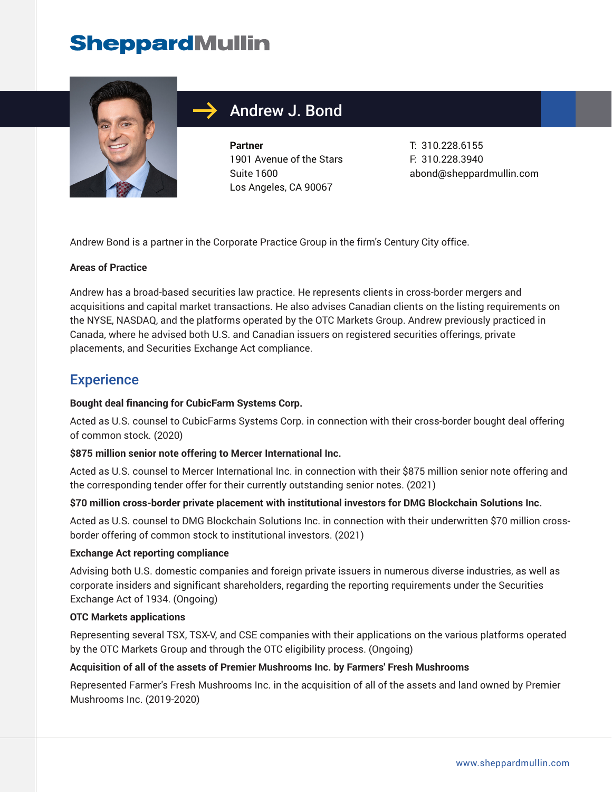# **SheppardMullin**



## Andrew J. Bond

**Partner** 1901 Avenue of the Stars Suite 1600 Los Angeles, CA 90067

T: 310.228.6155 F: 310.228.3940 abond@sheppardmullin.com

Andrew Bond is a partner in the Corporate Practice Group in the firm's Century City office.

#### **Areas of Practice**

Andrew has a broad-based securities law practice. He represents clients in cross-border mergers and acquisitions and capital market transactions. He also advises Canadian clients on the listing requirements on the NYSE, NASDAQ, and the platforms operated by the OTC Markets Group. Andrew previously practiced in Canada, where he advised both U.S. and Canadian issuers on registered securities offerings, private placements, and Securities Exchange Act compliance.

### **Experience**

#### **Bought deal financing for CubicFarm Systems Corp.**

Acted as U.S. counsel to CubicFarms Systems Corp. in connection with their cross-border bought deal offering of common stock. (2020)

#### **\$875 million senior note offering to Mercer International Inc.**

Acted as U.S. counsel to Mercer International Inc. in connection with their \$875 million senior note offering and the corresponding tender offer for their currently outstanding senior notes. (2021)

#### **\$70 million cross-border private placement with institutional investors for DMG Blockchain Solutions Inc.**

Acted as U.S. counsel to DMG Blockchain Solutions Inc. in connection with their underwritten \$70 million crossborder offering of common stock to institutional investors. (2021)

#### **Exchange Act reporting compliance**

Advising both U.S. domestic companies and foreign private issuers in numerous diverse industries, as well as corporate insiders and significant shareholders, regarding the reporting requirements under the Securities Exchange Act of 1934. (Ongoing)

#### **OTC Markets applications**

Representing several TSX, TSX-V, and CSE companies with their applications on the various platforms operated by the OTC Markets Group and through the OTC eligibility process. (Ongoing)

#### **Acquisition of all of the assets of Premier Mushrooms Inc. by Farmers' Fresh Mushrooms**

Represented Farmer's Fresh Mushrooms Inc. in the acquisition of all of the assets and land owned by Premier Mushrooms Inc. (2019-2020)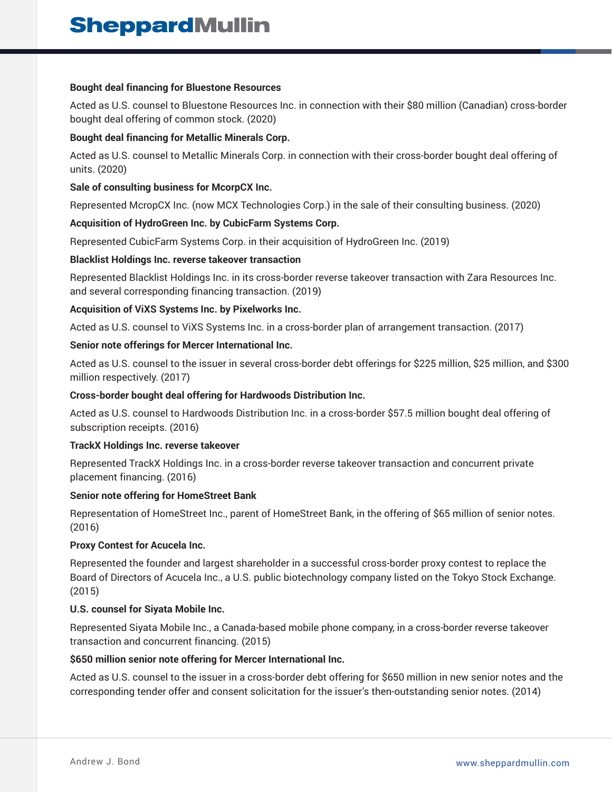#### **Bought deal financing for Bluestone Resources**

Acted as U.S. counsel to Bluestone Resources Inc. in connection with their \$80 million (Canadian) cross-border bought deal offering of common stock. (2020)

#### **Bought deal financing for Metallic Minerals Corp.**

Acted as U.S. counsel to Metallic Minerals Corp. in connection with their cross-border bought deal offering of units. (2020)

#### **Sale of consulting business for McorpCX Inc.**

Represented McropCX Inc. (now MCX Technologies Corp.) in the sale of their consulting business. (2020)

#### **Acquisition of HydroGreen Inc. by CubicFarm Systems Corp.**

Represented CubicFarm Systems Corp. in their acquisition of HydroGreen Inc. (2019)

#### **Blacklist Holdings Inc. reverse takeover transaction**

Represented Blacklist Holdings Inc. in its cross-border reverse takeover transaction with Zara Resources Inc. and several corresponding financing transaction. (2019)

#### **Acquisition of ViXS Systems Inc. by Pixelworks Inc.**

Acted as U.S. counsel to ViXS Systems Inc. in a cross-border plan of arrangement transaction. (2017)

#### **Senior note offerings for Mercer International Inc.**

Acted as U.S. counsel to the issuer in several cross-border debt offerings for \$225 million, \$25 million, and \$300 million respectively. (2017)

#### **Cross-border bought deal offering for Hardwoods Distribution Inc.**

Acted as U.S. counsel to Hardwoods Distribution Inc. in a cross-border \$57.5 million bought deal offering of subscription receipts. (2016)

#### **TrackX Holdings Inc. reverse takeover**

Represented TrackX Holdings Inc. in a cross-border reverse takeover transaction and concurrent private placement financing. (2016)

#### **Senior note offering for HomeStreet Bank**

Representation of HomeStreet Inc., parent of HomeStreet Bank, in the offering of \$65 million of senior notes. (2016)

#### **Proxy Contest for Acucela Inc.**

Represented the founder and largest shareholder in a successful cross-border proxy contest to replace the Board of Directors of Acucela Inc., a U.S. public biotechnology company listed on the Tokyo Stock Exchange. (2015)

#### **U.S. counsel for Siyata Mobile Inc.**

Represented Siyata Mobile Inc., a Canada-based mobile phone company, in a cross-border reverse takeover transaction and concurrent financing. (2015)

#### **\$650 million senior note offering for Mercer International Inc.**

Acted as U.S. counsel to the issuer in a cross-border debt offering for \$650 million in new senior notes and the corresponding tender offer and consent solicitation for the issuer's then-outstanding senior notes. (2014)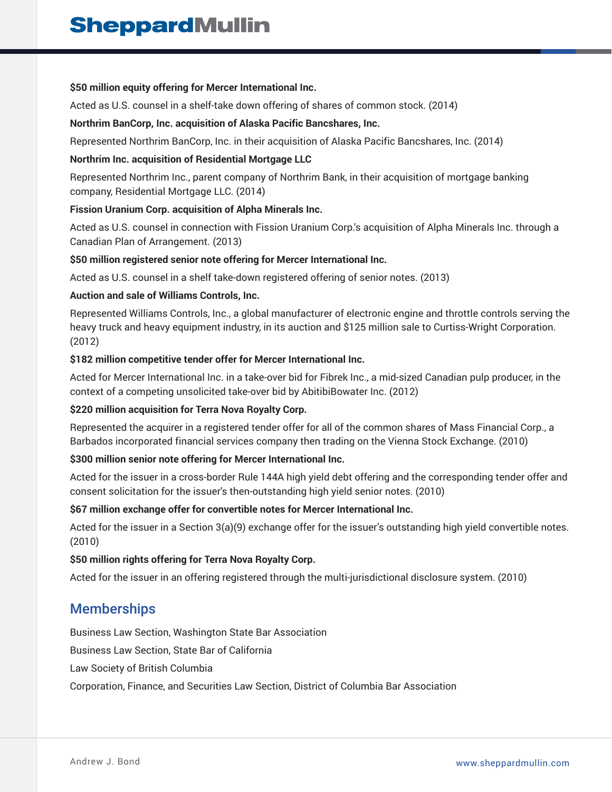#### **\$50 million equity offering for Mercer International Inc.**

Acted as U.S. counsel in a shelf-take down offering of shares of common stock. (2014)

#### **Northrim BanCorp, Inc. acquisition of Alaska Pacific Bancshares, Inc.**

Represented Northrim BanCorp, Inc. in their acquisition of Alaska Pacific Bancshares, Inc. (2014)

#### **Northrim Inc. acquisition of Residential Mortgage LLC**

Represented Northrim Inc., parent company of Northrim Bank, in their acquisition of mortgage banking company, Residential Mortgage LLC. (2014)

#### **Fission Uranium Corp. acquisition of Alpha Minerals Inc.**

Acted as U.S. counsel in connection with Fission Uranium Corp.'s acquisition of Alpha Minerals Inc. through a Canadian Plan of Arrangement. (2013)

#### **\$50 million registered senior note offering for Mercer International Inc.**

Acted as U.S. counsel in a shelf take-down registered offering of senior notes. (2013)

#### **Auction and sale of Williams Controls, Inc.**

Represented Williams Controls, Inc., a global manufacturer of electronic engine and throttle controls serving the heavy truck and heavy equipment industry, in its auction and \$125 million sale to Curtiss-Wright Corporation. (2012)

#### **\$182 million competitive tender offer for Mercer International Inc.**

Acted for Mercer International Inc. in a take-over bid for Fibrek Inc., a mid-sized Canadian pulp producer, in the context of a competing unsolicited take-over bid by AbitibiBowater Inc. (2012)

#### **\$220 million acquisition for Terra Nova Royalty Corp.**

Represented the acquirer in a registered tender offer for all of the common shares of Mass Financial Corp., a Barbados incorporated financial services company then trading on the Vienna Stock Exchange. (2010)

#### **\$300 million senior note offering for Mercer International Inc.**

Acted for the issuer in a cross-border Rule 144A high yield debt offering and the corresponding tender offer and consent solicitation for the issuer's then-outstanding high yield senior notes. (2010)

#### **\$67 million exchange offer for convertible notes for Mercer International Inc.**

Acted for the issuer in a Section 3(a)(9) exchange offer for the issuer's outstanding high yield convertible notes. (2010)

#### **\$50 million rights offering for Terra Nova Royalty Corp.**

Acted for the issuer in an offering registered through the multi-jurisdictional disclosure system. (2010)

### **Memberships**

Business Law Section, Washington State Bar Association

Business Law Section, State Bar of California

Law Society of British Columbia

Corporation, Finance, and Securities Law Section, District of Columbia Bar Association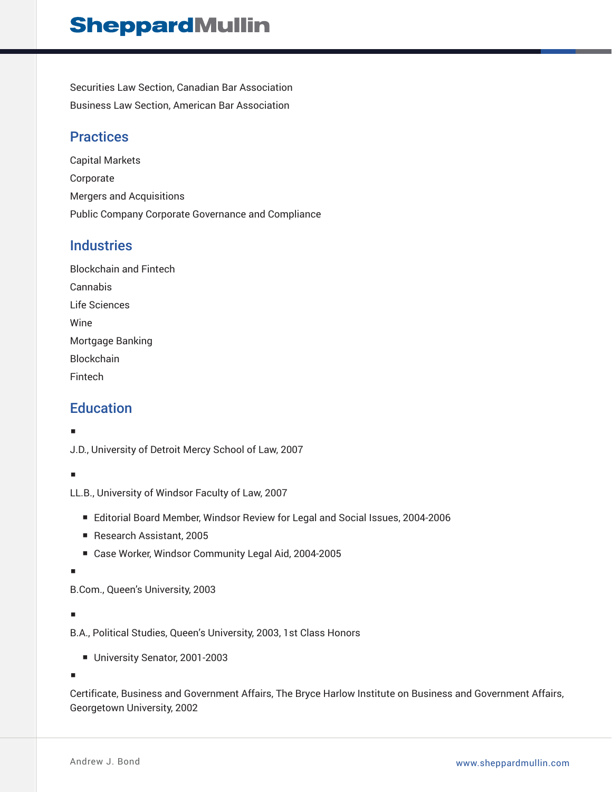# **SheppardMullin**

Securities Law Section, Canadian Bar Association Business Law Section, American Bar Association

## **Practices**

Capital Markets Corporate Mergers and Acquisitions Public Company Corporate Governance and Compliance

## **Industries**

| <b>Blockchain and Fintech</b> |
|-------------------------------|
| Cannabis                      |
| Life Sciences                 |
| Wine                          |
| Mortgage Banking              |
| <b>Blockchain</b>             |
| Fintech                       |

## **Education**

#### ■

J.D., University of Detroit Mercy School of Law, 2007

#### ■

LL.B., University of Windsor Faculty of Law, 2007

- Editorial Board Member, Windsor Review for Legal and Social Issues, 2004-2006
- Research Assistant, 2005
- Case Worker, Windsor Community Legal Aid, 2004-2005

■

B.Com., Queen's University, 2003

#### ■

B.A., Political Studies, Queen's University, 2003, 1st Class Honors

■ University Senator, 2001-2003

■

Certificate, Business and Government Affairs, The Bryce Harlow Institute on Business and Government Affairs, Georgetown University, 2002